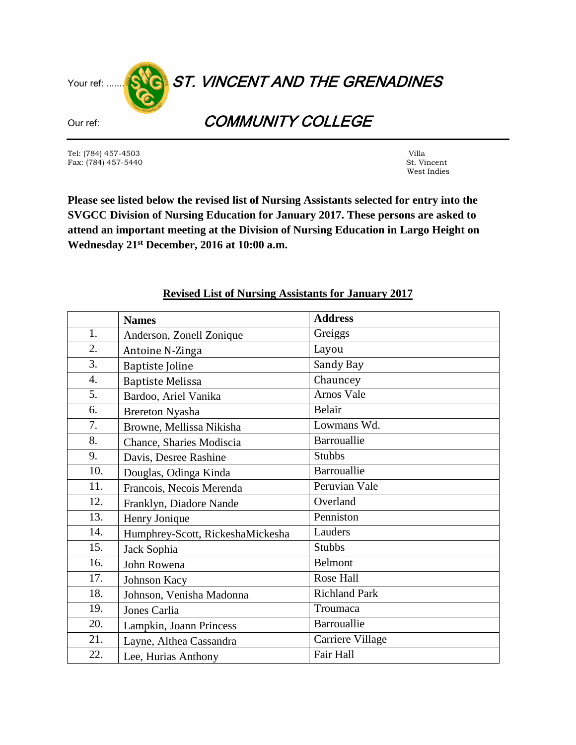

Tel: (784) 457-4503 Villa Fax:  $(784)$  457-5440

West Indies

**Please see listed below the revised list of Nursing Assistants selected for entry into the SVGCC Division of Nursing Education for January 2017. These persons are asked to attend an important meeting at the Division of Nursing Education in Largo Height on Wednesday 21st December, 2016 at 10:00 a.m.**

|                  | <b>Names</b>                     | <b>Address</b>       |
|------------------|----------------------------------|----------------------|
| 1.               | Anderson, Zonell Zonique         | Greiggs              |
| 2.               | Antoine N-Zinga                  | Layou                |
| 3.               | <b>Baptiste Joline</b>           | Sandy Bay            |
| $\overline{4}$ . | <b>Baptiste Melissa</b>          | Chauncey             |
| 5.               | Bardoo, Ariel Vanika             | Arnos Vale           |
| 6.               | <b>Brereton Nyasha</b>           | Belair               |
| 7.               | Browne, Mellissa Nikisha         | Lowmans Wd.          |
| 8.               | Chance, Sharies Modiscia         | Barrouallie          |
| 9.               | Davis, Desree Rashine            | <b>Stubbs</b>        |
| 10.              | Douglas, Odinga Kinda            | Barrouallie          |
| 11.              | Francois, Necois Merenda         | Peruvian Vale        |
| 12.              | Franklyn, Diadore Nande          | Overland             |
| 13.              | Henry Jonique                    | Penniston            |
| 14.              | Humphrey-Scott, RickeshaMickesha | Lauders              |
| 15.              | Jack Sophia                      | <b>Stubbs</b>        |
| 16.              | John Rowena                      | Belmont              |
| 17.              | Johnson Kacy                     | Rose Hall            |
| 18.              | Johnson, Venisha Madonna         | <b>Richland Park</b> |
| 19.              | Jones Carlia                     | Troumaca             |
| 20.              | Lampkin, Joann Princess          | Barrouallie          |
| 21.              | Layne, Althea Cassandra          | Carriere Village     |
| 22.              | Lee, Hurias Anthony              | Fair Hall            |

## **Revised List of Nursing Assistants for January 2017**